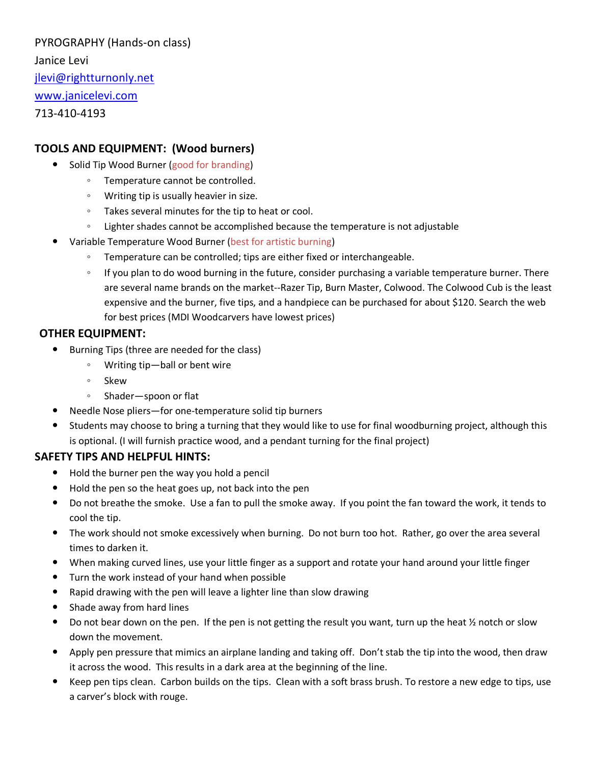PYROGRAPHY (Hands-on class) Janice Levi [jlevi@rightturnonly.net](mailto:jlevi@rightturnonly.net) [www.janicelevi.com](http://www.janicelevi.com/) 713-410-4193

# **TOOLS AND EQUIPMENT: (Wood burners)**

- Solid Tip Wood Burner (good for branding)
	- Temperature cannot be controlled.
	- Writing tip is usually heavier in size.
	- Takes several minutes for the tip to heat or cool.
	- Lighter shades cannot be accomplished because the temperature is not adjustable
- Variable Temperature Wood Burner (best for artistic burning)
	- Temperature can be controlled; tips are either fixed or interchangeable.
	- If you plan to do wood burning in the future, consider purchasing a variable temperature burner. There are several name brands on the market--Razer Tip, Burn Master, Colwood. The Colwood Cub is the least expensive and the burner, five tips, and a handpiece can be purchased for about \$120. Search the web for best prices (MDI Woodcarvers have lowest prices)

# **OTHER EQUIPMENT:**

- Burning Tips (three are needed for the class)
	- Writing tip—ball or bent wire
	- Skew
	- Shader—spoon or flat
- Needle Nose pliers—for one-temperature solid tip burners
- Students may choose to bring a turning that they would like to use for final woodburning project, although this is optional. (I will furnish practice wood, and a pendant turning for the final project)

#### **SAFETY TIPS AND HELPFUL HINTS:**

- Hold the burner pen the way you hold a pencil
- Hold the pen so the heat goes up, not back into the pen
- Do not breathe the smoke. Use a fan to pull the smoke away. If you point the fan toward the work, it tends to cool the tip.
- The work should not smoke excessively when burning. Do not burn too hot. Rather, go over the area several times to darken it.
- When making curved lines, use your little finger as a support and rotate your hand around your little finger
- Turn the work instead of your hand when possible
- Rapid drawing with the pen will leave a lighter line than slow drawing
- Shade away from hard lines
- Do not bear down on the pen. If the pen is not getting the result you want, turn up the heat  $\frac{1}{2}$  notch or slow down the movement.
- Apply pen pressure that mimics an airplane landing and taking off. Don't stab the tip into the wood, then draw it across the wood. This results in a dark area at the beginning of the line.
- Keep pen tips clean. Carbon builds on the tips. Clean with a soft brass brush. To restore a new edge to tips, use a carver's block with rouge.